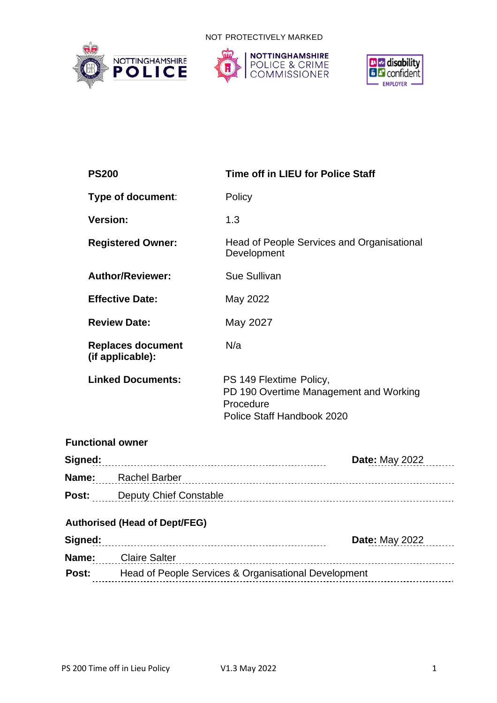NOT PROTECTIVELY MARKED







|                                                                                 | <b>PS200</b>                                 |  | Time off in LIEU for Police Staff                                                                            |                       |  |  |  |
|---------------------------------------------------------------------------------|----------------------------------------------|--|--------------------------------------------------------------------------------------------------------------|-----------------------|--|--|--|
|                                                                                 | Type of document:                            |  | Policy                                                                                                       |                       |  |  |  |
|                                                                                 | <b>Version:</b>                              |  | 1.3                                                                                                          |                       |  |  |  |
|                                                                                 | <b>Registered Owner:</b>                     |  | Head of People Services and Organisational<br>Development                                                    |                       |  |  |  |
|                                                                                 | <b>Author/Reviewer:</b>                      |  | Sue Sullivan                                                                                                 |                       |  |  |  |
|                                                                                 | <b>Effective Date:</b>                       |  | May 2022                                                                                                     |                       |  |  |  |
|                                                                                 | <b>Review Date:</b>                          |  | May 2027                                                                                                     |                       |  |  |  |
|                                                                                 | <b>Replaces document</b><br>(if applicable): |  | N/a                                                                                                          |                       |  |  |  |
| <b>Linked Documents:</b>                                                        |                                              |  | PS 149 Flextime Policy,<br>PD 190 Overtime Management and Working<br>Procedure<br>Police Staff Handbook 2020 |                       |  |  |  |
| <b>Functional owner</b>                                                         |                                              |  |                                                                                                              |                       |  |  |  |
|                                                                                 | Signed:                                      |  |                                                                                                              | <b>Date: May 2022</b> |  |  |  |
|                                                                                 |                                              |  |                                                                                                              |                       |  |  |  |
| Post: Deputy Chief Constable manufacture contract of the Deputy Chief Constable |                                              |  |                                                                                                              |                       |  |  |  |
| <b>Authorised (Head of Dept/FEG)</b><br>Date: May 2022                          |                                              |  |                                                                                                              |                       |  |  |  |
| <b>Name:</b> Claire Salter                                                      |                                              |  |                                                                                                              |                       |  |  |  |
| <b>Post:</b> Head of People Services & Organisational Development               |                                              |  |                                                                                                              |                       |  |  |  |
|                                                                                 |                                              |  |                                                                                                              |                       |  |  |  |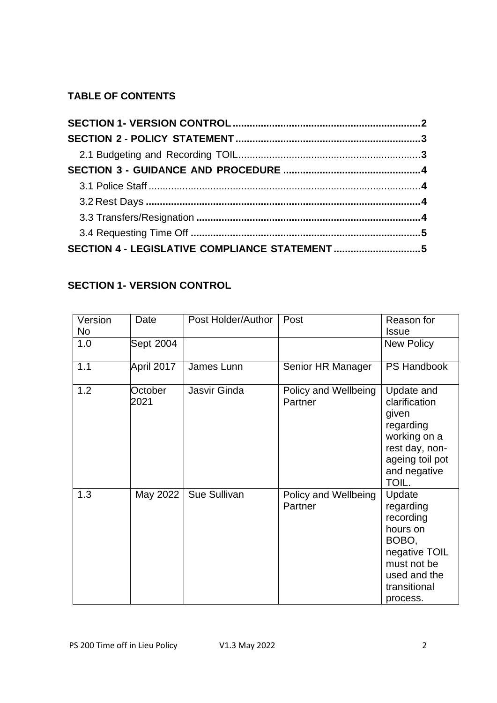# **TABLE OF CONTENTS**

# <span id="page-1-0"></span>**SECTION 1- VERSION CONTROL**

<span id="page-1-1"></span>

| Version<br>No | Date            | Post Holder/Author | Post                            | Reason for<br><b>Issue</b>                                                                                                        |
|---------------|-----------------|--------------------|---------------------------------|-----------------------------------------------------------------------------------------------------------------------------------|
| 1.0           | Sept 2004       |                    |                                 | <b>New Policy</b>                                                                                                                 |
| 1.1           | April 2017      | James Lunn         | Senior HR Manager               | <b>PS Handbook</b>                                                                                                                |
| 1.2           | October<br>2021 | Jasvir Ginda       | Policy and Wellbeing<br>Partner | Update and<br>clarification<br>given<br>regarding<br>working on a<br>rest day, non-<br>ageing toil pot<br>and negative<br>TOIL.   |
| 1.3           | May 2022        | Sue Sullivan       | Policy and Wellbeing<br>Partner | Update<br>regarding<br>recording<br>hours on<br>BOBO,<br>negative TOIL<br>must not be<br>used and the<br>transitional<br>process. |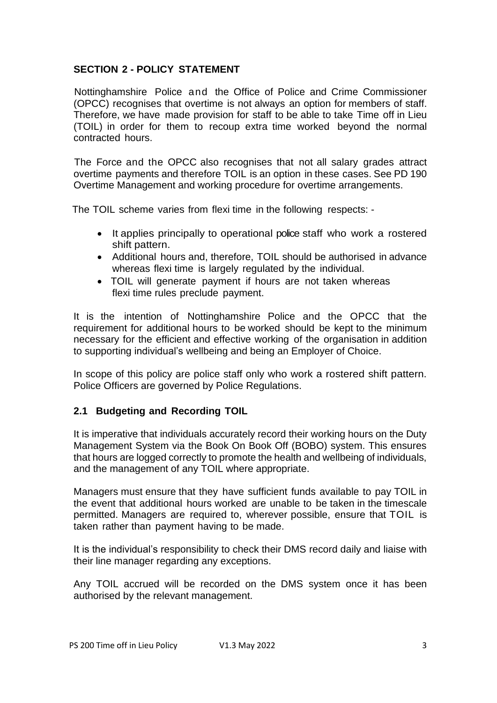### **SECTION 2 - POLICY STATEMENT**

Nottinghamshire Police and the Office of Police and Crime Commissioner (OPCC) recognises that overtime is not always an option for members of staff. Therefore, we have made provision for staff to be able to take Time off in Lieu (TOIL) in order for them to recoup extra time worked beyond the normal contracted hours.

The Force and the OPCC also recognises that not all salary grades attract overtime payments and therefore TOIL is an option in these cases. See PD 190 Overtime Management and working procedure for overtime arrangements.

The TOIL scheme varies from flexi time in the following respects: -

- It applies principally to operational police staff who work a rostered shift pattern.
- Additional hours and, therefore, TOIL should be authorised in advance whereas flexi time is largely regulated by the individual.
- TOIL will generate payment if hours are not taken whereas flexi time rules preclude payment.

It is the intention of Nottinghamshire Police and the OPCC that the requirement for additional hours to be worked should be kept to the minimum necessary for the efficient and effective working of the organisation in addition to supporting individual's wellbeing and being an Employer of Choice.

In scope of this policy are police staff only who work a rostered shift pattern. Police Officers are governed by Police Regulations.

# <span id="page-2-0"></span>**2.1 Budgeting and Recording TOIL**

It is imperative that individuals accurately record their working hours on the Duty Management System via the Book On Book Off (BOBO) system. This ensures that hours are logged correctly to promote the health and wellbeing of individuals, and the management of any TOIL where appropriate.

Managers must ensure that they have sufficient funds available to pay TOIL in the event that additional hours worked are unable to be taken in the timescale permitted. Managers are required to, wherever possible, ensure that TOIL is taken rather than payment having to be made.

It is the individual's responsibility to check their DMS record daily and liaise with their line manager regarding any exceptions.

<span id="page-2-1"></span>Any TOIL accrued will be recorded on the DMS system once it has been authorised by the relevant management.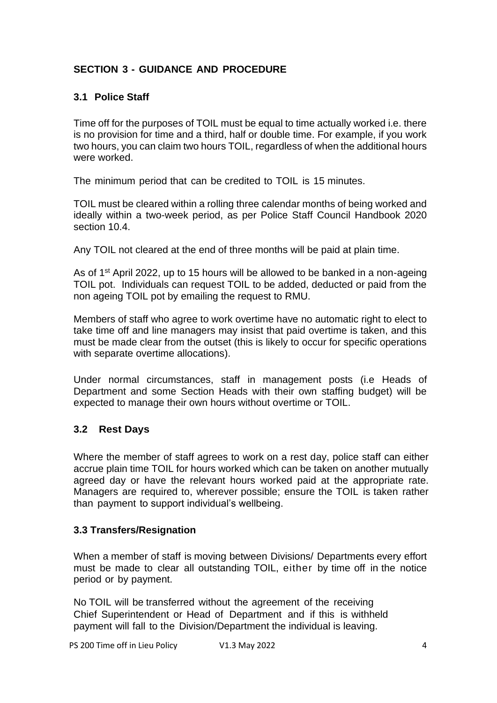# **SECTION 3 - GUIDANCE AND PROCEDURE**

# <span id="page-3-0"></span>**3.1 Police Staff**

Time off for the purposes of TOIL must be equal to time actually worked i.e. there is no provision for time and a third, half or double time. For example, if you work two hours, you can claim two hours TOIL, regardless of when the additional hours were worked.

The minimum period that can be credited to TOIL is 15 minutes.

TOIL must be cleared within a rolling three calendar months of being worked and ideally within a two-week period, as per Police Staff Council Handbook 2020 section 10.4.

Any TOIL not cleared at the end of three months will be paid at plain time.

As of 1<sup>st</sup> April 2022, up to 15 hours will be allowed to be banked in a non-ageing TOIL pot. Individuals can request TOIL to be added, deducted or paid from the non ageing TOIL pot by emailing the request to RMU.

Members of staff who agree to work overtime have no automatic right to elect to take time off and line managers may insist that paid overtime is taken, and this must be made clear from the outset (this is likely to occur for specific operations with separate overtime allocations).

Under normal circumstances, staff in management posts (i.e Heads of Department and some Section Heads with their own staffing budget) will be expected to manage their own hours without overtime or TOIL.

# <span id="page-3-1"></span>**3.2 Rest Days**

Where the member of staff agrees to work on a rest day, police staff can either accrue plain time TOIL for hours worked which can be taken on another mutually agreed day or have the relevant hours worked paid at the appropriate rate. Managers are required to, wherever possible; ensure the TOIL is taken rather than payment to support individual's wellbeing.

#### <span id="page-3-2"></span>**3.3 Transfers/Resignation**

When a member of staff is moving between Divisions/ Departments every effort must be made to clear all outstanding TOIL, either by time off in the notice period or by payment.

No TOIL will be transferred without the agreement of the receiving Chief Superintendent or Head of Department and if this is withheld payment will fall to the Division/Department the individual is leaving.